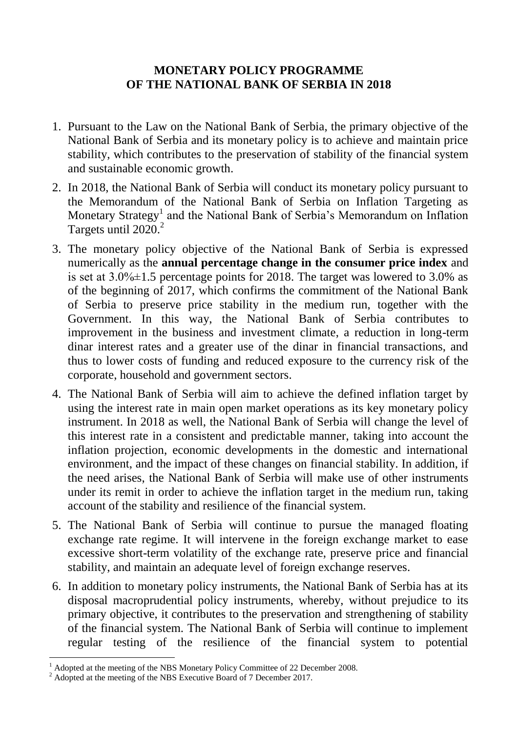## **MONETARY POLICY PROGRAMME OF THE NATIONAL BANK OF SERBIA IN 2018**

- 1. Pursuant to the Law on the National Bank of Serbia, the primary objective of the National Bank of Serbia and its monetary policy is to achieve and maintain price stability, which contributes to the preservation of stability of the financial system and sustainable economic growth.
- 2. In 2018, the National Bank of Serbia will conduct its monetary policy pursuant to the Memorandum of the National Bank of Serbia on Inflation Targeting as Monetary Strategy<sup>1</sup> and the National Bank of Serbia's Memorandum on Inflation Targets until 2020.<sup>2</sup>
- 3. The monetary policy objective of the National Bank of Serbia is expressed numerically as the **annual percentage change in the consumer price index** and is set at 3.0%±1.5 percentage points for 2018. The target was lowered to 3.0% as of the beginning of 2017, which confirms the commitment of the National Bank of Serbia to preserve price stability in the medium run, together with the Government. In this way, the National Bank of Serbia contributes to improvement in the business and investment climate, a reduction in long-term dinar interest rates and a greater use of the dinar in financial transactions, and thus to lower costs of funding and reduced exposure to the currency risk of the corporate, household and government sectors.
- 4. The National Bank of Serbia will aim to achieve the defined inflation target by using the interest rate in main open market operations as its key monetary policy instrument. In 2018 as well, the National Bank of Serbia will change the level of this interest rate in a consistent and predictable manner, taking into account the inflation projection, economic developments in the domestic and international environment, and the impact of these changes on financial stability. In addition, if the need arises, the National Bank of Serbia will make use of other instruments under its remit in order to achieve the inflation target in the medium run, taking account of the stability and resilience of the financial system.
- 5. The National Bank of Serbia will continue to pursue the managed floating exchange rate regime. It will intervene in the foreign exchange market to ease excessive short-term volatility of the exchange rate, preserve price and financial stability, and maintain an adequate level of foreign exchange reserves.
- 6. In addition to monetary policy instruments, the National Bank of Serbia has at its disposal macroprudential policy instruments, whereby, without prejudice to its primary objective, it contributes to the preservation and strengthening of stability of the financial system. The National Bank of Serbia will continue to implement regular testing of the resilience of the financial system to potential

<u>.</u>

<sup>&</sup>lt;sup>1</sup> Adopted at the meeting of the NBS Monetary Policy Committee of 22 December 2008.

<sup>&</sup>lt;sup>2</sup> Adopted at the meeting of the NBS Executive Board of 7 December 2017.